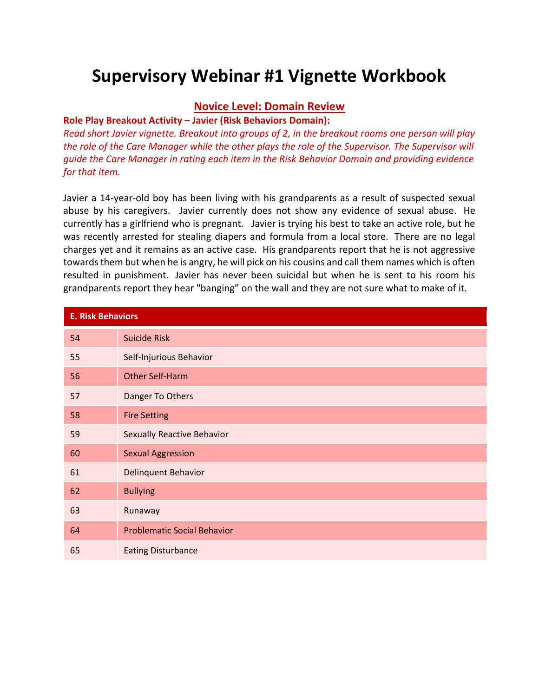# **Supervisory Webinar #1 Vignette Workbook**

#### **Novice Level: Domain Review**

#### **Role Play Breakout Activity – Javier (Risk Behaviors Domain):**

*Read short Javier vignette. Breakout into groups of 2, in the breakout rooms one person will play the role of the Care Manager while the other plays the role of the Supervisor. The Supervisor will guide the Care Manager in rating each item in the Risk Behavior Domain and providing evidence for that item.*

Javier a 14-year-old boy has been living with his grandparents as a result of suspected sexual abuse by his caregivers. Javier currently does not show any evidence of sexual abuse. He currently has a girlfriend who is pregnant. Javier is trying his best to take an active role, but he was recently arrested for stealing diapers and formula from a local store. There are no legal charges yet and it remains as an active case. His grandparents report that he is not aggressive towards them but when he is angry, he will pick on his cousins and call them names which is often resulted in punishment. Javier has never been suicidal but when he is sent to his room his grandparents report they hear "banging" on the wall and they are not sure what to make of it.

| <b>E. Risk Behaviors</b> |                                    |
|--------------------------|------------------------------------|
| 54                       | <b>Suicide Risk</b>                |
| 55                       | Self-Injurious Behavior            |
| 56                       | <b>Other Self-Harm</b>             |
| 57                       | Danger To Others                   |
| 58                       | <b>Fire Setting</b>                |
| 59                       | <b>Sexually Reactive Behavior</b>  |
| 60                       | <b>Sexual Aggression</b>           |
| 61                       | Delinquent Behavior                |
| 62                       | <b>Bullying</b>                    |
| 63                       | Runaway                            |
| 64                       | <b>Problematic Social Behavior</b> |
| 65                       | <b>Eating Disturbance</b>          |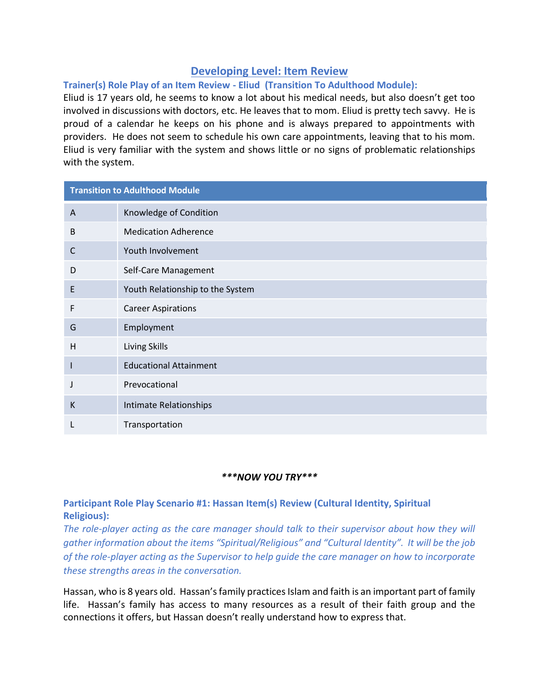## **Developing Level: Item Review**

## **Trainer(s) Role Play of an Item Review - Eliud (Transition To Adulthood Module):**

Eliud is 17 years old, he seems to know a lot about his medical needs, but also doesn't get too involved in discussions with doctors, etc. He leaves that to mom. Eliud is pretty tech savvy. He is proud of a calendar he keeps on his phone and is always prepared to appointments with providers. He does not seem to schedule his own care appointments, leaving that to his mom. Eliud is very familiar with the system and shows little or no signs of problematic relationships with the system.

| <b>Transition to Adulthood Module</b> |                                  |
|---------------------------------------|----------------------------------|
| A                                     | Knowledge of Condition           |
| B                                     | <b>Medication Adherence</b>      |
| C                                     | Youth Involvement                |
| D                                     | Self-Care Management             |
| E                                     | Youth Relationship to the System |
| F                                     | <b>Career Aspirations</b>        |
| G                                     | Employment                       |
| H                                     | Living Skills                    |
| ш                                     | <b>Educational Attainment</b>    |
|                                       | Prevocational                    |
| K                                     | Intimate Relationships           |
|                                       | Transportation                   |

## *\*\*\*NOW YOU TRY\*\*\**

## **Participant Role Play Scenario #1: Hassan Item(s) Review (Cultural Identity, Spiritual Religious):**

*The role-player acting as the care manager should talk to their supervisor about how they will gather information about the items "Spiritual/Religious" and "Cultural Identity". It will be the job of the role-player acting as the Supervisor to help guide the care manager on how to incorporate these strengths areas in the conversation.* 

Hassan, who is 8 years old. Hassan's family practices Islam and faith is an important part of family life. Hassan's family has access to many resources as a result of their faith group and the connections it offers, but Hassan doesn't really understand how to express that.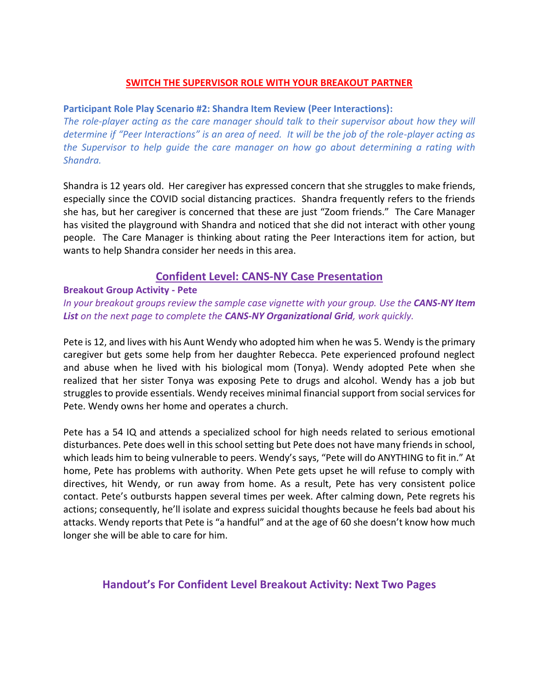### **SWITCH THE SUPERVISOR ROLE WITH YOUR BREAKOUT PARTNER**

#### **Participant Role Play Scenario #2: Shandra Item Review (Peer Interactions):**

*The role-player acting as the care manager should talk to their supervisor about how they will determine if "Peer Interactions" is an area of need. It will be the job of the role-player acting as the Supervisor to help guide the care manager on how go about determining a rating with Shandra.* 

Shandra is 12 years old. Her caregiver has expressed concern that she struggles to make friends, especially since the COVID social distancing practices. Shandra frequently refers to the friends she has, but her caregiver is concerned that these are just "Zoom friends." The Care Manager has visited the playground with Shandra and noticed that she did not interact with other young people. The Care Manager is thinking about rating the Peer Interactions item for action, but wants to help Shandra consider her needs in this area.

## **Confident Level: CANS-NY Case Presentation**

#### **Breakout Group Activity - Pete**

*In your breakout groups review the sample case vignette with your group. Use the CANS-NY Item List on the next page to complete the CANS-NY Organizational Grid, work quickly.*

Pete is 12, and lives with his Aunt Wendy who adopted him when he was 5. Wendy is the primary caregiver but gets some help from her daughter Rebecca. Pete experienced profound neglect and abuse when he lived with his biological mom (Tonya). Wendy adopted Pete when she realized that her sister Tonya was exposing Pete to drugs and alcohol. Wendy has a job but struggles to provide essentials. Wendy receives minimal financial support from social services for Pete. Wendy owns her home and operates a church.

Pete has a 54 IQ and attends a specialized school for high needs related to serious emotional disturbances. Pete does well in this school setting but Pete does not have many friends in school, which leads him to being vulnerable to peers. Wendy's says, "Pete will do ANYTHING to fit in." At home, Pete has problems with authority. When Pete gets upset he will refuse to comply with directives, hit Wendy, or run away from home. As a result, Pete has very consistent police contact. Pete's outbursts happen several times per week. After calming down, Pete regrets his actions; consequently, he'll isolate and express suicidal thoughts because he feels bad about his attacks. Wendy reports that Pete is "a handful" and at the age of 60 she doesn't know how much longer she will be able to care for him.

## **Handout's For Confident Level Breakout Activity: Next Two Pages**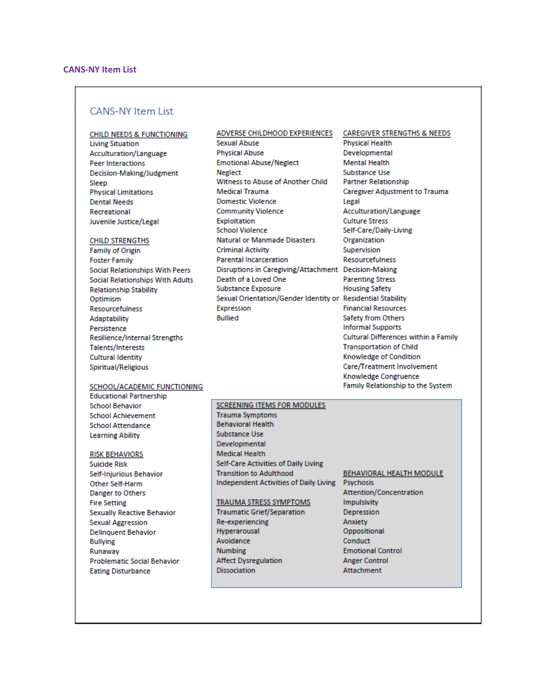#### **CANS-NY Item List**

#### **CHILD NEEDS & FUNCTIONING**

**Living Situation Acculturation/Language Peer Interactions** Decision-Making/Judgment Sleep **Physical Limitations Dental Needs Recreational** Juvenile Justice/Legal

#### **CHILD STRENGTHS**

**Family of Origin Foster Family** Social Relationships With Peers **Social Relationships With Adults Relationship Stability** Optimism Resourcefulness Adaptability Persistence **Resilience/Internal Strengths** Talents/Interests **Cultural Identity** Spiritual/Religious

#### ADVERSE CHILDHOOD EXPERIENCES

Sexual Abuse **Physical Abuse Emotional Abuse/Neglect Neglect** Witness to Abuse of Another Child **Medical Trauma Domestic Violence Community Violence** Exploitation **School Violence Natural or Manmade Disasters Criminal Activity Parental Incarceration** Disruptions in Caregiving/Attachment Decision-Making Death of a Loved One **Substance Exposure** Sexual Orientation/Gender Identity or Residential Stability Expression **Bullied** 

#### **CAREGIVER STRENGTHS & NEEDS Physical Health** Developmental **Mental Health Substance Use Partner Relationship Caregiver Adjustment to Trauma** Legal Acculturation/Language **Culture Stress** Self-Care/Daily-Living Organization Supervision Resourcefulness **Parenting Stress Housing Safety Financial Resources** Safety from Others **Informal Supports** Cultural Differences within a Family **Transportation of Child** Knowledge of Condition Care/Treatment Involvement Knowledge Congruence

Family Relationship to the System

#### SCHOOL/ACADEMIC FUNCTIONING

**Educational Partnership School Behavior School Achievement School Attendance Learning Ability** 

#### **RISK BEHAVIORS**

**Suicide Risk** Self-Injurious Behavior Other Self-Harm **Danger to Others Fire Setting Sexually Reactive Behavior Sexual Aggression Delinquent Behavior Bullying** Runaway **Problematic Social Behavior Eating Disturbance** 

#### **SCREENING ITEMS FOR MODULES**

**Trauma Symptoms Behavioral Health** Substance Use Developmental **Medical Health** Self-Care Activities of Daily Living **Transition to Adulthood** Independent Activities of Daily Living Psychosis

#### TRAUMA STRESS SYMPTOMS

**Traumatic Grief/Separation** Re-experiencing Hyperarousal Avoidance **Numbing Affect Dysregulation Dissociation** 

# **BEHAVIORAL HEALTH MODULE**

Attention/Concentration **Impulsivity** Depression Anxiety Oppositional Conduct **Emotional Control Anger Control Attachment**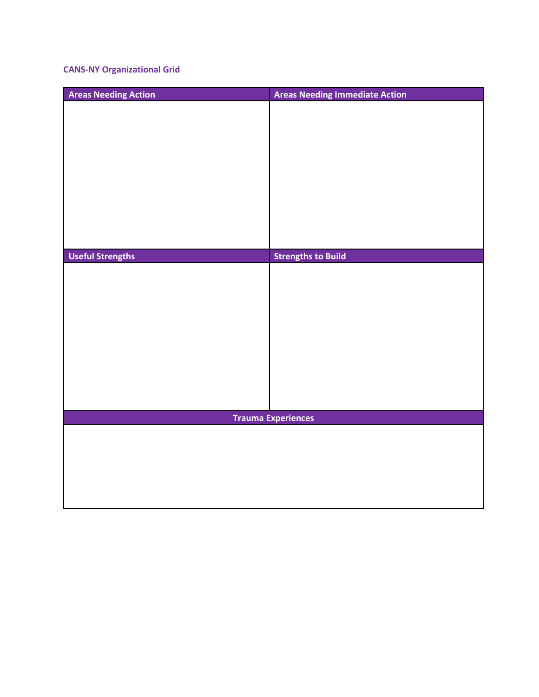## **CANS-NY Organizational Grid**

| <b>Areas Needing Action</b> | <b>Areas Needing Immediate Action</b> |
|-----------------------------|---------------------------------------|
|                             |                                       |
|                             |                                       |
|                             |                                       |
|                             |                                       |
|                             |                                       |
|                             |                                       |
|                             |                                       |
|                             |                                       |
|                             |                                       |
| <b>Useful Strengths</b>     | <b>Strengths to Build</b>             |
|                             |                                       |
|                             |                                       |
|                             |                                       |
|                             |                                       |
|                             |                                       |
|                             |                                       |
|                             |                                       |
|                             |                                       |
|                             |                                       |
|                             |                                       |
| <b>Trauma Experiences</b>   |                                       |
|                             |                                       |
|                             |                                       |
|                             |                                       |
|                             |                                       |
|                             |                                       |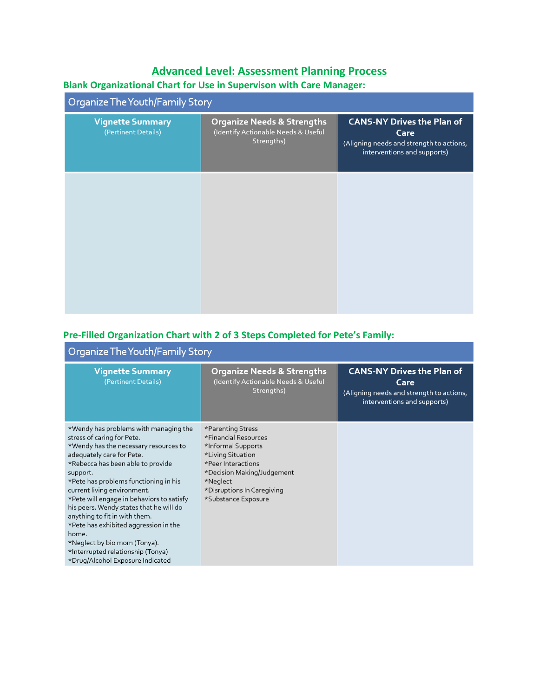## **Advanced Level: Assessment Planning Process**

## **Blank Organizational Chart for Use in Supervison with Care Manager:**

| Organize The Youth/Family Story                |                                                                                 |                                                                                                                      |  |
|------------------------------------------------|---------------------------------------------------------------------------------|----------------------------------------------------------------------------------------------------------------------|--|
| <b>Vignette Summary</b><br>(Pertinent Details) | Organize Needs & Strengths<br>(Identify Actionable Needs & Useful<br>Strengths) | <b>CANS-NY Drives the Plan of</b><br>Care<br>(Aligning needs and strength to actions,<br>interventions and supports) |  |
|                                                |                                                                                 |                                                                                                                      |  |
|                                                |                                                                                 |                                                                                                                      |  |
|                                                |                                                                                 |                                                                                                                      |  |

## **Pre-Filled Organization Chart with 2 of 3 Steps Completed for Pete's Family:**

| Organize The Youth/Family Story                                                                                                                                                                                                                                                                                                                                                                                                                                                                                                                        |                                                                                                                                                                                                           |                                                                                                                      |  |
|--------------------------------------------------------------------------------------------------------------------------------------------------------------------------------------------------------------------------------------------------------------------------------------------------------------------------------------------------------------------------------------------------------------------------------------------------------------------------------------------------------------------------------------------------------|-----------------------------------------------------------------------------------------------------------------------------------------------------------------------------------------------------------|----------------------------------------------------------------------------------------------------------------------|--|
| <b>Vignette Summary</b><br>(Pertinent Details)                                                                                                                                                                                                                                                                                                                                                                                                                                                                                                         | <b>Organize Needs &amp; Strengths</b><br>(Identify Actionable Needs & Useful<br>Strengths)                                                                                                                | <b>CANS-NY Drives the Plan of</b><br>Care<br>(Aligning needs and strength to actions,<br>interventions and supports) |  |
| *Wendy has problems with managing the<br>stress of caring for Pete.<br>*Wendy has the necessary resources to<br>adequately care for Pete.<br>*Rebecca has been able to provide<br>support.<br>*Pete has problems functioning in his<br>current living environment.<br>*Pete will engage in behaviors to satisfy<br>his peers. Wendy states that he will do<br>anything to fit in with them.<br>*Pete has exhibited aggression in the<br>home.<br>*Neglect by bio mom (Tonya).<br>*Interrupted relationship (Tonya)<br>*Drug/Alcohol Exposure Indicated | *Parenting Stress<br>*Financial Resources<br>*Informal Supports<br>*Living Situation<br>*Peer Interactions<br>*Decision Making/Judgement<br>*Neglect<br>*Disruptions In Caregiving<br>*Substance Exposure |                                                                                                                      |  |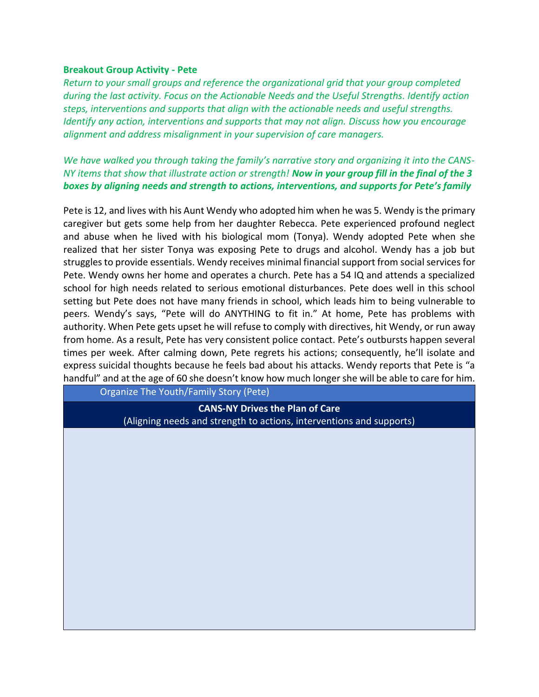#### **Breakout Group Activity - Pete**

*Return to your small groups and reference the organizational grid that your group completed during the last activity. Focus on the Actionable Needs and the Useful Strengths. Identify action steps, interventions and supports that align with the actionable needs and useful strengths. Identify any action, interventions and supports that may not align. Discuss how you encourage alignment and address misalignment in your supervision of care managers.*

*We have walked you through taking the family's narrative story and organizing it into the CANS-NY items that show that illustrate action or strength! Now in your group fill in the final of the 3 boxes by aligning needs and strength to actions, interventions, and supports for Pete's family*

Pete is 12, and lives with his Aunt Wendy who adopted him when he was 5. Wendy is the primary caregiver but gets some help from her daughter Rebecca. Pete experienced profound neglect and abuse when he lived with his biological mom (Tonya). Wendy adopted Pete when she realized that her sister Tonya was exposing Pete to drugs and alcohol. Wendy has a job but struggles to provide essentials. Wendy receives minimal financial support from social services for Pete. Wendy owns her home and operates a church. Pete has a 54 IQ and attends a specialized school for high needs related to serious emotional disturbances. Pete does well in this school setting but Pete does not have many friends in school, which leads him to being vulnerable to peers. Wendy's says, "Pete will do ANYTHING to fit in." At home, Pete has problems with authority. When Pete gets upset he will refuse to comply with directives, hit Wendy, or run away from home. As a result, Pete has very consistent police contact. Pete's outbursts happen several times per week. After calming down, Pete regrets his actions; consequently, he'll isolate and express suicidal thoughts because he feels bad about his attacks. Wendy reports that Pete is "a handful" and at the age of 60 she doesn't know how much longer she will be able to care for him.

Organize The Youth/Family Story (Pete)

**CANS-NY Drives the Plan of Care** (Aligning needs and strength to actions, interventions and supports)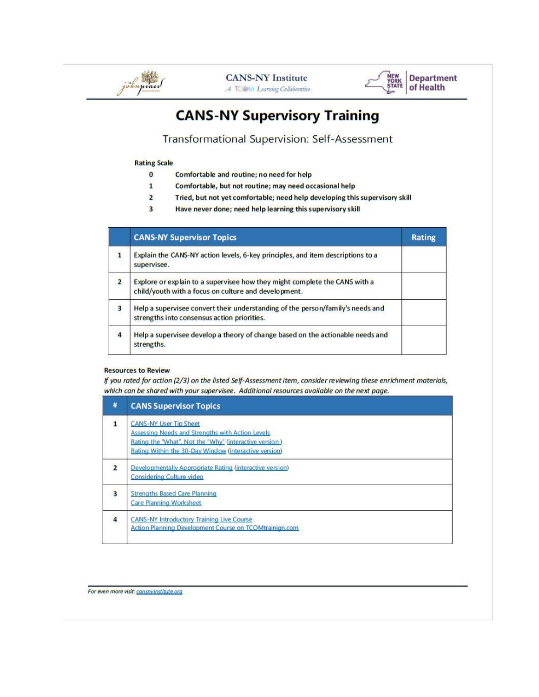



## **CANS-NY Supervisory Training**

Transformational Supervision: Self-Assessment

#### **Rating Scale**

- Comfortable and routine; no need for help  $\pmb{0}$
- $\mathbf{1}$ Comfortable, but not routine; may need occasional help
- $\overline{2}$ Tried, but not yet comfortable; need help developing this supervisory skill
- $\overline{\mathbf{3}}$ Have never done; need help learning this supervisory skill

|                         | <b>CANS-NY Supervisor Topics</b>                                                                                                   | <b>Rating</b> |
|-------------------------|------------------------------------------------------------------------------------------------------------------------------------|---------------|
| $\mathbf{1}$            | Explain the CANS-NY action levels, 6-key principles, and item descriptions to a<br>supervisee.                                     |               |
| $\overline{2}$          | Explore or explain to a supervisee how they might complete the CANS with a<br>child/youth with a focus on culture and development. |               |
| $\overline{\mathbf{3}}$ | Help a supervisee convert their understanding of the person/family's needs and<br>strengths into consensus action priorities.      |               |
| $\overline{a}$          | Help a supervisee develop a theory of change based on the actionable needs and<br>strengths.                                       |               |

#### **Resources to Review**

If you rated for action (2/3) on the listed Self-Assessment item, consider reviewing these enrichment materials, which can be shared with your supervisee. Additional resources available on the next page.

| #                       | <b>CANS Supervisor Topics</b>                                                                                                                                                                        |
|-------------------------|------------------------------------------------------------------------------------------------------------------------------------------------------------------------------------------------------|
| $\mathbf{1}$            | <b>CANS-NY User Tip Sheet</b><br>Assessing Needs and Strengths with Action Levels<br>Rating the "What". Not the "Why" (interactive version)<br>Rating Within the 30-Day Window (interactive version) |
| $\overline{2}$          | Developmentally Appropriate Rating (interactive version)<br>Considering Culture video                                                                                                                |
| $\overline{\mathbf{3}}$ | <b>Strengths Based Care Planning</b><br>Care Planning Worksheet                                                                                                                                      |
| $\overline{\mathbf{4}}$ | <b>CANS-NY Introductory Training Live Course</b><br>Action Planning Development Course on TCOMtrainign.com                                                                                           |